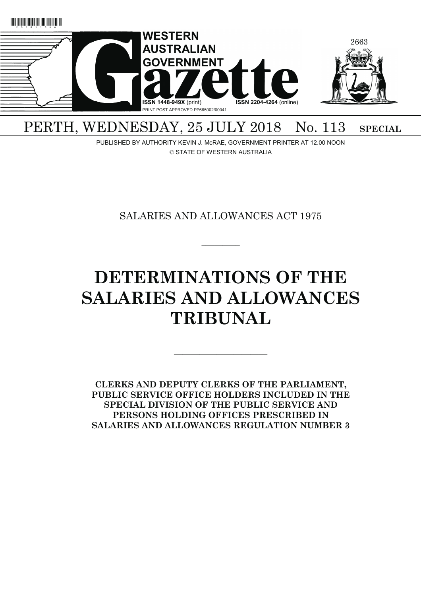

# PERTH, WEDNESDAY, 25 JULY 2018 No. 113 SPECIAL

PUBLISHED BY AUTHORITY KEVIN J. McRAE, GOVERNMENT PRINTER AT 12.00 NOON © STATE OF WESTERN AUSTRALIA

SALARIES AND ALLOWANCES ACT 1975

 $\overline{\phantom{a}}$ 

# **DETERMINATIONS OF THE SALARIES AND ALLOWANCES TRIBUNAL**

**CLERKS AND DEPUTY CLERKS OF THE PARLIAMENT, PUBLIC SERVICE OFFICE HOLDERS INCLUDED IN THE SPECIAL DIVISION OF THE PUBLIC SERVICE AND PERSONS HOLDING OFFICES PRESCRIBED IN SALARIES AND ALLOWANCES REGULATION NUMBER 3**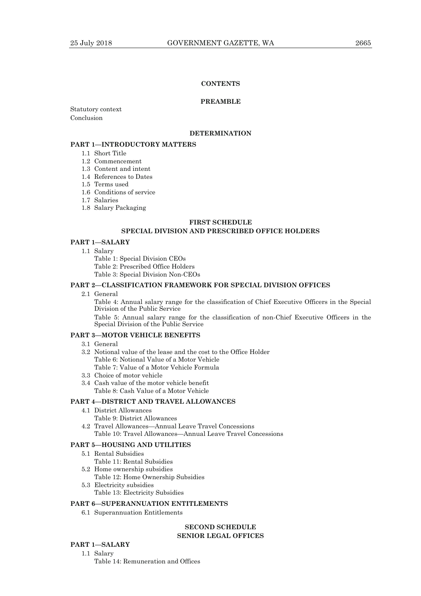### **CONTENTS**

#### **PREAMBLE**

Statutory context Conclusion

#### **DETERMINATION**

# **PART 1—INTRODUCTORY MATTERS**

- 1.1 Short Title
- 1.2 Commencement
- 1.3 Content and intent
- 1.4 References to Dates
- 1.5 Terms used
- 1.6 Conditions of service
- 1.7 Salaries
- 1.8 Salary Packaging

#### **FIRST SCHEDULE**

### **SPECIAL DIVISION AND PRESCRIBED OFFICE HOLDERS**

#### **PART 1—SALARY**

1.1 Salary

Table 1: Special Division CEOs

Table 2: Prescribed Office Holders

Table 3: Special Division Non-CEOs

# **PART 2—CLASSIFICATION FRAMEWORK FOR SPECIAL DIVISION OFFICES**

2.1 General

 Table 4: Annual salary range for the classification of Chief Executive Officers in the Special Division of the Public Service

 Table 5: Annual salary range for the classification of non-Chief Executive Officers in the Special Division of the Public Service

#### **PART 3—MOTOR VEHICLE BENEFITS**

- 3.1 General
- 3.2 Notional value of the lease and the cost to the Office Holder Table 6: Notional Value of a Motor Vehicle Table 7: Value of a Motor Vehicle Formula
- 3.3 Choice of motor vehicle
- 3.4 Cash value of the motor vehicle benefit Table 8: Cash Value of a Motor Vehicle

#### **PART 4—DISTRICT AND TRAVEL ALLOWANCES**

- 4.1 District Allowances
	- Table 9: District Allowances
- 4.2 Travel Allowances—Annual Leave Travel Concessions Table 10: Travel Allowances—Annual Leave Travel Concessions

#### **PART 5—HOUSING AND UTILITIES**

- 5.1 Rental Subsidies Table 11: Rental Subsidies
- 5.2 Home ownership subsidies
- Table 12: Home Ownership Subsidies
- 5.3 Electricity subsidies Table 13: Electricity Subsidies

#### **PART 6—SUPERANNUATION ENTITLEMENTS**

6.1 Superannuation Entitlements

### **SECOND SCHEDULE SENIOR LEGAL OFFICES**

# **PART 1—SALARY**

 1.1 Salary Table 14: Remuneration and Offices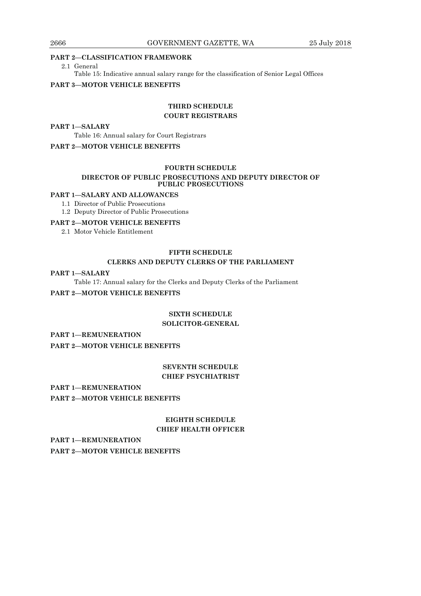#### **PART 2—CLASSIFICATION FRAMEWORK**

2.1 General

Table 15: Indicative annual salary range for the classification of Senior Legal Offices

#### **PART 3—MOTOR VEHICLE BENEFITS**

# **THIRD SCHEDULE COURT REGISTRARS**

#### **PART 1—SALARY**

 Table 16: Annual salary for Court Registrars **PART 2—MOTOR VEHICLE BENEFITS** 

# **FOURTH SCHEDULE**

### **DIRECTOR OF PUBLIC PROSECUTIONS AND DEPUTY DIRECTOR OF PUBLIC PROSECUTIONS**

# **PART 1—SALARY AND ALLOWANCES**

- 1.1 Director of Public Prosecutions
- 1.2 Deputy Director of Public Prosecutions

# **PART 2—MOTOR VEHICLE BENEFITS**

2.1 Motor Vehicle Entitlement

# **FIFTH SCHEDULE**

### **CLERKS AND DEPUTY CLERKS OF THE PARLIAMENT**

### **PART 1—SALARY**

Table 17: Annual salary for the Clerks and Deputy Clerks of the Parliament

### **PART 2—MOTOR VEHICLE BENEFITS**

# **SIXTH SCHEDULE**

# **SOLICITOR-GENERAL**

# **PART 1—REMUNERATION**

**PART 2—MOTOR VEHICLE BENEFITS** 

# **SEVENTH SCHEDULE CHIEF PSYCHIATRIST**

# **PART 1—REMUNERATION**

**PART 2—MOTOR VEHICLE BENEFITS** 

# **EIGHTH SCHEDULE CHIEF HEALTH OFFICER**

**PART 1—REMUNERATION PART 2—MOTOR VEHICLE BENEFITS**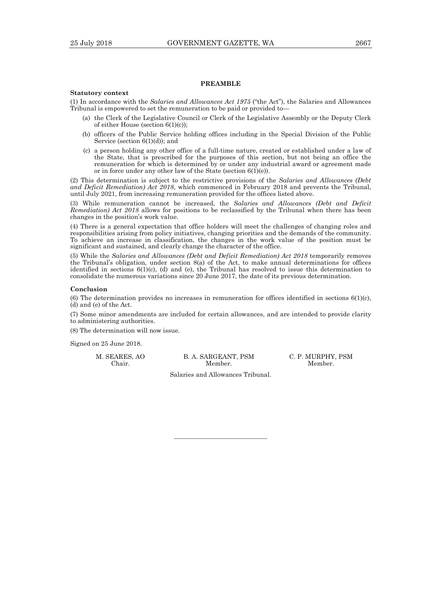# **PREAMBLE**

#### **Statutory context**

(1) In accordance with the *Salaries and Allowances Act 1975* ("the Act"), the Salaries and Allowances Tribunal is empowered to set the remuneration to be paid or provided to—

- (a) the Clerk of the Legislative Council or Clerk of the Legislative Assembly or the Deputy Clerk of either House (section 6(1)(c));
- (b) officers of the Public Service holding offices including in the Special Division of the Public Service (section 6(1)(d)); and
- (c) a person holding any other office of a full-time nature, created or established under a law of the State, that is prescribed for the purposes of this section, but not being an office the remuneration for which is determined by or under any industrial award or agreement made or in force under any other law of the State (section  $6(1)(e)$ ).

(2) This determination is subject to the restrictive provisions of the *Salaries and Allowances (Debt and Deficit Remediation) Act 2018*, which commenced in February 2018 and prevents the Tribunal, until July 2021, from increasing remuneration provided for the offices listed above.

(3) While remuneration cannot be increased, the *Salaries and Allowances (Debt and Deficit Remediation) Act 2018* allows for positions to be reclassified by the Tribunal when there has been changes in the position's work value.

(4) There is a general expectation that office holders will meet the challenges of changing roles and responsibilities arising from policy initiatives, changing priorities and the demands of the community. To achieve an increase in classification, the changes in the work value of the position must be significant and sustained, and clearly change the character of the office.

(5) While the *Salaries and Allowances (Debt and Deficit Remediation) Act 2018* temporarily removes the Tribunal's obligation, under section 8(a) of the Act, to make annual determinations for offices identified in sections 6(1)(c), (d) and (e), the Tribunal has resolved to issue this determination to consolidate the numerous variations since 20 June 2017, the date of its previous determination.

#### **Conclusion**

(6) The determination provides no increases in remuneration for offices identified in sections  $6(1)(c)$ , (d) and (e) of the Act.

(7) Some minor amendments are included for certain allowances, and are intended to provide clarity to administering authorities.

(8) The determination will now issue.

Signed on 25 June 2018.

Chair. Member. Member.

M. SEARES, AO B. A. SARGEANT, PSM C. P. MURPHY, PSM

Salaries and Allowances Tribunal.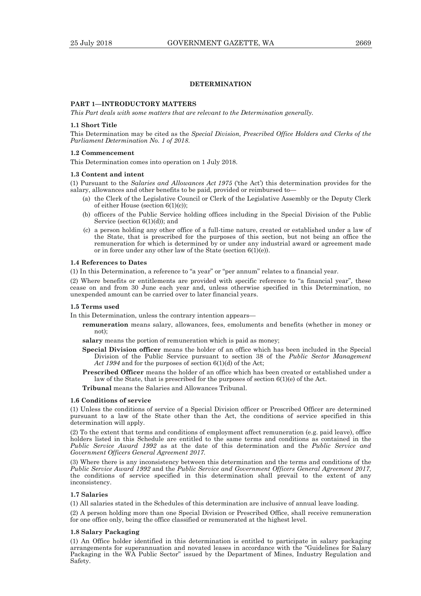# **DETERMINATION**

# **PART 1—INTRODUCTORY MATTERS**

*This Part deals with some matters that are relevant to the Determination generally.* 

#### **1.1 Short Title**

This Determination may be cited as the *Special Division, Prescribed Office Holders and Clerks of the Parliament Determination No. 1 of 2018*.

#### **1.2 Commencement**

This Determination comes into operation on 1 July 2018.

#### **1.3 Content and intent**

(1) Pursuant to the *Salaries and Allowances Act 1975* ('the Act') this determination provides for the salary, allowances and other benefits to be paid, provided or reimbursed to—

- (a) the Clerk of the Legislative Council or Clerk of the Legislative Assembly or the Deputy Clerk of either House (section 6(1)(c));
- (b) officers of the Public Service holding offices including in the Special Division of the Public Service (section  $6(1)(d)$ ); and
- (c) a person holding any other office of a full-time nature, created or established under a law of the State, that is prescribed for the purposes of this section, but not being an office the remuneration for which is determined by or under any industrial award or agreement made or in force under any other law of the State (section 6(1)(e)).

#### **1.4 References to Dates**

(1) In this Determination, a reference to "a year" or "per annum" relates to a financial year.

(2) Where benefits or entitlements are provided with specific reference to "a financial year", these cease on and from 30 June each year and, unless otherwise specified in this Determination, no unexpended amount can be carried over to later financial years.

#### **1.5 Terms used**

In this Determination, unless the contrary intention appears—

- **remuneration** means salary, allowances, fees, emoluments and benefits (whether in money or not);
- **salary** means the portion of remuneration which is paid as money;
- **Special Division officer** means the holder of an office which has been included in the Special Division of the Public Service pursuant to section 38 of the *Public Sector Management*  Act 1994 and for the purposes of section  $6(1)(d)$  of the Act;
- **Prescribed Officer** means the holder of an office which has been created or established under a law of the State, that is prescribed for the purposes of section 6(1)(e) of the Act.

**Tribunal** means the Salaries and Allowances Tribunal.

#### **1.6 Conditions of service**

(1) Unless the conditions of service of a Special Division officer or Prescribed Officer are determined pursuant to a law of the State other than the Act, the conditions of service specified in this determination will apply.

(2) To the extent that terms and conditions of employment affect remuneration (e.g. paid leave), office holders listed in this Schedule are entitled to the same terms and conditions as contained in the *Public Service Award 1992* as at the date of this determination and the *Public Service and Government Officers General Agreement 2017.*

(3) Where there is any inconsistency between this determination and the terms and conditions of the *Public Service Award 1992* and the *Public Service and Government Officers General Agreement 2017*, the conditions of service specified in this determination shall prevail to the extent of any inconsistency.

#### **1.7 Salaries**

(1) All salaries stated in the Schedules of this determination are inclusive of annual leave loading.

(2) A person holding more than one Special Division or Prescribed Office, shall receive remuneration for one office only, being the office classified or remunerated at the highest level.

#### **1.8 Salary Packaging**

(1) An Office holder identified in this determination is entitled to participate in salary packaging arrangements for superannuation and novated leases in accordance with the "Guidelines for Salary Packaging in the WA Public Sector" issued by the Department of Mines, Industry Regulation and Safety.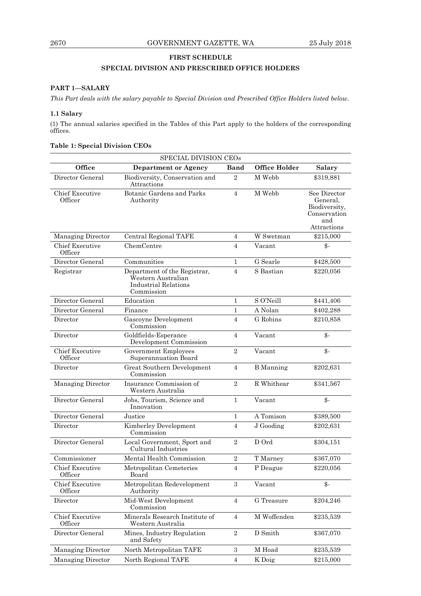# **FIRST SCHEDULE**

# **SPECIAL DIVISION AND PRESCRIBED OFFICE HOLDERS**

# **PART 1—SALARY**

*This Part deals with the salary payable to Special Division and Prescribed Office Holders listed below.* 

# **1.1 Salary**

(1) The annual salaries specified in the Tables of this Part apply to the holders of the corresponding offices.

| SPECIAL DIVISION CEOs             |                                                                                                 |                  |                      |                                                                                 |
|-----------------------------------|-------------------------------------------------------------------------------------------------|------------------|----------------------|---------------------------------------------------------------------------------|
| Office                            | <b>Department or Agency</b>                                                                     | Band             | <b>Office Holder</b> | <b>Salary</b>                                                                   |
| Director General                  | Biodiversity, Conservation and<br>Attractions                                                   | $\overline{2}$   | M Webb               | \$319,881                                                                       |
| <b>Chief Executive</b><br>Officer | Botanic Gardens and Parks<br>$\overline{4}$<br>Authority                                        |                  | M Webb               | See Director<br>General,<br>Biodiversity,<br>Conservation<br>and<br>Attractions |
| Managing Director                 | Central Regional TAFE                                                                           | 4                | W Swetman            | \$215,000                                                                       |
| <b>Chief Executive</b><br>Officer | ChemCentre                                                                                      | $\overline{4}$   | Vacant               | $\mathcal{S}$ -                                                                 |
| Director General                  | Communities                                                                                     | $\mathbf{1}$     | G Searle             | \$428,500                                                                       |
| Registrar                         | Department of the Registrar,<br>Western Australian<br><b>Industrial Relations</b><br>Commission | $\overline{4}$   | S Bastian            | \$220,056                                                                       |
| Director General                  | Education                                                                                       | $\mathbf{1}$     | S O'Neill            | \$441,406                                                                       |
| Director General                  | Finance                                                                                         | $\mathbf{1}$     | A Nolan              | \$402,288                                                                       |
| Director                          | Gascoyne Development<br>Commission                                                              | $\overline{4}$   | G Robins             | \$210,858                                                                       |
| Director                          | Goldfields-Esperance<br>Development Commission                                                  | $\overline{4}$   | Vacant               | \$-                                                                             |
| <b>Chief Executive</b><br>Officer | Government Employees<br>Superannuation Board                                                    | $\overline{2}$   | Vacant               | $\mathcal{L}$                                                                   |
| Director                          | Great Southern Development<br>Commission                                                        | $\overline{4}$   | <b>B</b> Manning     | \$202,631                                                                       |
| <b>Managing Director</b>          | Insurance Commission of<br>Western Australia                                                    | $\overline{2}$   | R Whithear           | \$341,567                                                                       |
| Director General                  | Jobs, Tourism, Science and<br>Innovation                                                        | $\mathbf{1}$     | Vacant               | $\frac{2}{3}$                                                                   |
| Director General                  | Justice                                                                                         | $\mathbf{1}$     | A Tomison            | \$389,500                                                                       |
| Director                          | Kimberley Development<br>Commission                                                             | $\overline{4}$   | J Gooding            | \$202,631                                                                       |
| Director General                  | Local Government, Sport and<br>Cultural Industries                                              | $\overline{2}$   | D Ord                | \$304,151                                                                       |
| Commissioner                      | Mental Health Commission                                                                        | $\sqrt{2}$       | T Marney             | \$367,070                                                                       |
| <b>Chief Executive</b><br>Officer | Metropolitan Cemeteries<br>Board                                                                | $\sqrt{4}$       | P Deague             | \$220,056                                                                       |
| <b>Chief Executive</b><br>Officer | Metropolitan Redevelopment<br>Authority                                                         | 3                | Vacant               | $\mathcal{S}$ -                                                                 |
| Director                          | Mid-West Development<br>Commission                                                              | $\overline{4}$   | G Treasure           | \$204,246                                                                       |
| <b>Chief Executive</b><br>Officer | Minerals Research Institute of<br>Western Australia                                             | 4                | M Woffenden          | \$235,539                                                                       |
| Director General                  | Mines, Industry Regulation<br>and Safety                                                        | $\boldsymbol{2}$ | D Smith              | \$367,070                                                                       |
| <b>Managing Director</b>          | North Metropolitan TAFE                                                                         | $\,3$            | M Hoad               | \$235,539                                                                       |
| Managing Director                 | North Regional TAFE                                                                             | 4                | K Doig               | \$215,000                                                                       |

# **Table 1: Special Division CEOs**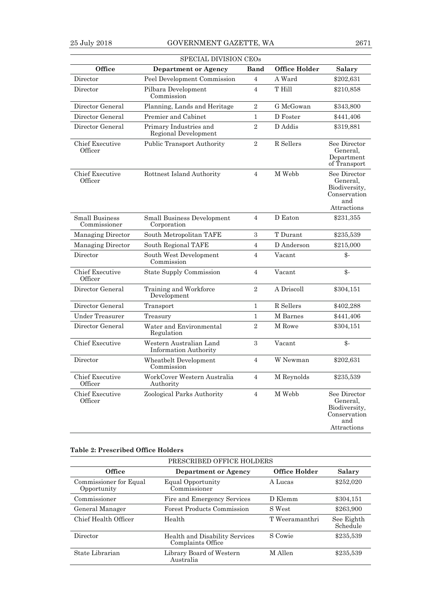|                                       | SPECIAL DIVISION CEOS                                   | Band           |                      |                                                                                 |
|---------------------------------------|---------------------------------------------------------|----------------|----------------------|---------------------------------------------------------------------------------|
| Office                                | Department or Agency                                    |                | <b>Office Holder</b> | <b>Salary</b>                                                                   |
| Director                              | Peel Development Commission                             | $\overline{4}$ | A Ward               | \$202,631                                                                       |
| Director                              | Pilbara Development<br>Commission                       | $\overline{4}$ | T Hill               | \$210,858                                                                       |
| Director General                      | Planning, Lands and Heritage                            | $\overline{2}$ | G McGowan            | \$343,800                                                                       |
| Director General                      | Premier and Cabinet                                     | 1              | D Foster             | \$441,406                                                                       |
| Director General                      | Primary Industries and<br>Regional Development          | $\overline{2}$ | D Addis              | \$319,881                                                                       |
| <b>Chief Executive</b><br>Officer     | <b>Public Transport Authority</b>                       | $\sqrt{2}$     | R Sellers            | See Director<br>General,<br>Department<br>of Transport                          |
| <b>Chief Executive</b><br>Officer     | Rottnest Island Authority<br>$\overline{4}$             |                | M Webb               | See Director<br>General,<br>Biodiversity,<br>Conservation<br>and<br>Attractions |
| <b>Small Business</b><br>Commissioner | <b>Small Business Development</b><br>Corporation        | 4              | D Eaton              | \$231,355                                                                       |
| Managing Director                     | South Metropolitan TAFE                                 | 3              | T Durant             | \$235,539                                                                       |
| Managing Director                     | South Regional TAFE                                     | $\overline{4}$ | D Anderson           | \$215,000                                                                       |
| Director                              | South West Development<br>Commission                    | $\overline{4}$ | Vacant               | $\mathcal{S}$ -                                                                 |
| <b>Chief Executive</b><br>Officer     | State Supply Commission                                 | $\overline{4}$ | Vacant               | $\mathcal{S}$ -                                                                 |
| Director General                      | Training and Workforce<br>Development                   | $\overline{2}$ | A Driscoll           | \$304,151                                                                       |
| Director General                      | Transport                                               | $\mathbf{1}$   | R Sellers            | \$402,288                                                                       |
| <b>Under Treasurer</b>                | Treasury                                                | 1              | M Barnes             | \$441,406                                                                       |
| Director General                      | Water and Environmental<br>Regulation                   |                | M Rowe               | \$304,151                                                                       |
| <b>Chief Executive</b>                | Western Australian Land<br><b>Information Authority</b> | 3              | Vacant               | $\mathcal{S}$ -                                                                 |
| Director                              | Wheatbelt Development<br>Commission                     | 4              | W Newman             | \$202,631                                                                       |
| <b>Chief Executive</b><br>Officer     | WorkCover Western Australia<br>Authority                | $\overline{4}$ | M Reynolds           | \$235,539                                                                       |
| <b>Chief Executive</b><br>Officer     | Zoological Parks Authority                              | $\overline{4}$ | M Webb               | See Director<br>General,<br>Biodiversity,<br>Conservation<br>and<br>Attractions |

# **Table 2: Prescribed Office Holders**

| PRESCRIBED OFFICE HOLDERS             |                                                     |                |                        |  |  |  |
|---------------------------------------|-----------------------------------------------------|----------------|------------------------|--|--|--|
| Office                                | Department or Agency                                | Office Holder  | Salary                 |  |  |  |
| Commissioner for Equal<br>Opportunity | Equal Opportunity<br>Commissioner                   | A Lucas        | \$252,020              |  |  |  |
| Commissioner                          | Fire and Emergency Services                         | D Klemm        | \$304,151              |  |  |  |
| General Manager                       | Forest Products Commission                          | S West         | \$263,900              |  |  |  |
| Chief Health Officer                  | Health                                              | T Weeramanthri | See Eighth<br>Schedule |  |  |  |
| Director                              | Health and Disability Services<br>Complaints Office | S Cowie        | \$235,539              |  |  |  |
| State Librarian                       | Library Board of Western<br>Australia               | M Allen        | \$235,539              |  |  |  |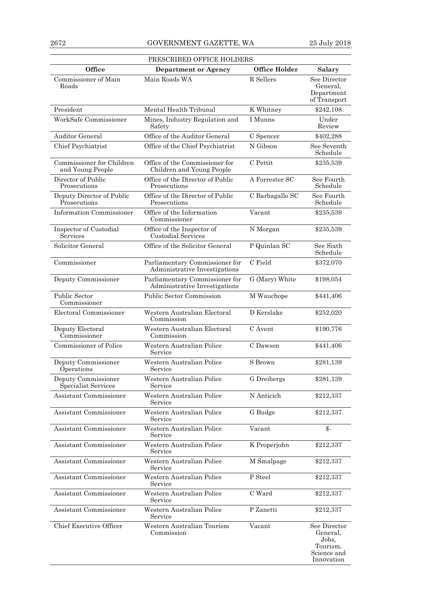| PRESCRIBED OFFICE HOLDERS                     |                                                                 |                      |                                                                            |  |  |
|-----------------------------------------------|-----------------------------------------------------------------|----------------------|----------------------------------------------------------------------------|--|--|
| Office                                        | <b>Department or Agency</b>                                     | <b>Office Holder</b> | Salary                                                                     |  |  |
| Commissioner of Main<br>Roads                 | Main Roads WA                                                   | R Sellers            | See Director<br>General,<br>Department<br>of Transport                     |  |  |
| President                                     | Mental Health Tribunal                                          | K Whitney            | \$242,108                                                                  |  |  |
| WorkSafe Commissioner                         | Mines, Industry Regulation and<br>Safety                        | I Munns              | Under<br>Review                                                            |  |  |
| <b>Auditor General</b>                        | Office of the Auditor General                                   | C Spencer            | \$402,288                                                                  |  |  |
| Chief Psychiatrist                            | Office of the Chief Psychiatrist                                | N Gibson             | See Seventh<br>Schedule                                                    |  |  |
| Commissioner for Children<br>and Young People | Office of the Commissioner for<br>Children and Young People     | C Pettit             | \$235,539                                                                  |  |  |
| Director of Public<br>Prosecutions            | Office of the Director of Public<br>Prosecutions                | A Forrester SC       | See Fourth<br>Schedule                                                     |  |  |
| Deputy Director of Public<br>Prosecutions     | Office of the Director of Public<br>Prosecutions                | C Barbagallo SC      | See Fourth<br>Schedule                                                     |  |  |
| Information Commissioner                      | Office of the Information<br>Commissioner                       | Vacant               | \$235,539                                                                  |  |  |
| Inspector of Custodial<br>Services            | Office of the Inspector of<br>Custodial Services                | N Morgan             | \$235,539                                                                  |  |  |
| Solicitor General                             | Office of the Solicitor General                                 | P Quinlan SC         | See Sixth<br>Schedule                                                      |  |  |
| Commissioner                                  | Parliamentary Commissioner for<br>Administrative Investigations | C Field              | \$372,070                                                                  |  |  |
| Deputy Commissioner                           | Parliamentary Commissioner for<br>Administrative Investigations | G (Mary) White       | \$198,054                                                                  |  |  |
| <b>Public Sector</b><br>Commissioner          | Public Sector Commission                                        | M Wauchope           | \$441,406                                                                  |  |  |
| Electoral Commissioner                        | Western Australian Electoral<br>Commission                      | D Kerslake           | \$252,020                                                                  |  |  |
| Deputy Electoral<br>Commissioner              | Western Australian Electoral<br>Commission                      | C Avent              | \$190,776                                                                  |  |  |
| Commissioner of Police                        | Western Australian Police<br>Service                            | C Dawson             | \$441,406                                                                  |  |  |
| Deputy Commissioner<br>Operations             | Western Australian Police<br>Service                            | S Brown              | \$281,139                                                                  |  |  |
| Deputy Commissioner<br>Specialist Services    | Western Australian Police<br>Service                            | G Dreibergs          | \$281,139                                                                  |  |  |
| Assistant Commissioner                        | Western Australian Police<br>Service                            | N Anticich           | \$212,337                                                                  |  |  |
| Assistant Commissioner                        | Western Australian Police<br>Service                            | G Budge              | \$212,337                                                                  |  |  |
| Assistant Commissioner                        | Western Australian Police<br>Service                            | Vacant               | $\mathcal{L}$                                                              |  |  |
| Assistant Commissioner                        | Western Australian Police<br>Service                            | K Properjohn         | \$212,337                                                                  |  |  |
| Assistant Commissioner                        | Western Australian Police<br>Service                            | M Smalpage           | \$212,337                                                                  |  |  |
| Assistant Commissioner                        | Western Australian Police<br>Service                            | P Steel              | \$212,337                                                                  |  |  |
| Assistant Commissioner                        | Western Australian Police<br>Service                            | C Ward               | \$212,337                                                                  |  |  |
| Assistant Commissioner                        | Western Australian Police<br>Service                            | P Zanetti            | \$212,337                                                                  |  |  |
| Chief Executive Officer                       | Western Australian Tourism<br>Commission                        | Vacant               | See Director<br>General,<br>Jobs,<br>Tourism,<br>Science and<br>Innovation |  |  |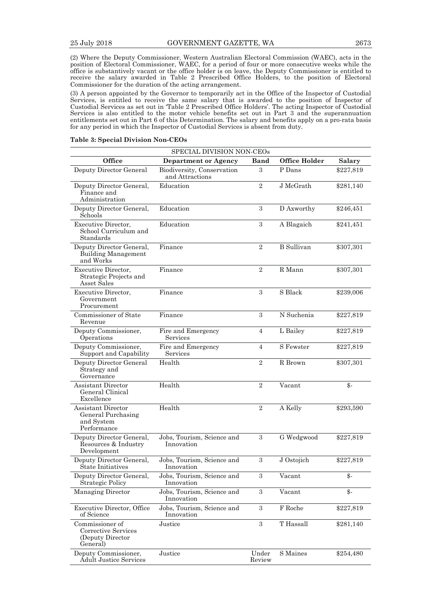(2) Where the Deputy Commissioner, Western Australian Electoral Commission (WAEC), acts in the position of Electoral Commissioner, WAEC, for a period of four or more consecutive weeks while the office is substantively vacant or the office holder is on leave, the Deputy Commissioner is entitled to receive the salary awarded in Table 2 Prescribed Office Holders, to the position of Electoral Commissioner for the duration of the acting arrangement.

(3) A person appointed by the Governor to temporarily act in the Office of the Inspector of Custodial Services, is entitled to receive the same salary that is awarded to the position of Inspector of Custodial Services as set out in 'Table 2 Prescribed Office Holders'. The acting Inspector of Custodial Services is also entitled to the motor vehicle benefits set out in Part 3 and the superannuation entitlements set out in Part 6 of this Determination. The salary and benefits apply on a pro-rata basis for any period in which the Inspector of Custodial Services is absent from duty.

#### **Table 3: Special Division Non-CEOs**

| Office                                                                 | SPECIAL DIVISION NON-CEOs<br><b>Department or Agency</b> | <b>Band</b>     | <b>Office Holder</b> | <b>Salary</b> |
|------------------------------------------------------------------------|----------------------------------------------------------|-----------------|----------------------|---------------|
| Deputy Director General                                                | Biodiversity, Conservation<br>and Attractions            |                 | P Dans               | \$227,819     |
| Deputy Director General,<br>Finance and<br>Administration              | Education                                                | $\overline{2}$  | J McGrath            | \$281,140     |
| Deputy Director General,<br>Schools                                    | Education                                                | 3               | D Axworthy           | \$246,451     |
| Executive Director,<br>School Curriculum and<br>Standards              | Education                                                | 3               | A Blagaich           | \$241,451     |
| Deputy Director General,<br><b>Building Management</b><br>and Works    | Finance                                                  | $\overline{2}$  | <b>B</b> Sullivan    | \$307,301     |
| Executive Director,<br>Strategic Projects and<br>Asset Sales           | Finance                                                  | $\sqrt{2}$      | R Mann               | \$307,301     |
| Executive Director,<br>Government<br>Procurement                       | Finance                                                  | 3               | S Black              | \$239,006     |
| Commissioner of State<br>Revenue                                       | Finance                                                  | 3               | N Suchenia           | \$227,819     |
| Deputy Commissioner,<br>Operations                                     | Fire and Emergency<br>Services                           | 4               | L Bailey             | \$227,819     |
| Deputy Commissioner,<br>Support and Capability                         | Fire and Emergency<br>Services                           | 4               | S Fewster            | \$227,819     |
| Deputy Director General<br>Strategy and<br>Governance                  | Health                                                   | $\overline{2}$  | R Brown              | \$307,301     |
| Assistant Director<br>General Clinical<br>Excellence                   | Health                                                   | $\overline{2}$  | Vacant               | \$-           |
| Assistant Director<br>General Purchasing<br>and System<br>Performance  | Health                                                   | $\overline{2}$  | A Kelly              | \$293,590     |
| Deputy Director General,<br>Resources & Industry<br>Development        | Jobs, Tourism, Science and<br>Innovation                 | 3               | G Wedgwood           | \$227,819     |
| Deputy Director General,<br>State Initiatives                          | Jobs, Tourism, Science and<br>Innovation                 | 3               | J Ostojich           | \$227,819     |
| Deputy Director General,<br>Strategic Policy                           | Jobs, Tourism, Science and<br>Innovation                 | 3               | Vacant               | \$-           |
| <b>Managing Director</b>                                               | Jobs, Tourism, Science and<br>Innovation                 | 3               | Vacant               | \$-           |
| <b>Executive Director, Office</b><br>of Science                        | Jobs, Tourism, Science and<br>Innovation                 | 3               | F Roche              | \$227,819     |
| Commissioner of<br>Corrective Services<br>(Deputy Director<br>General) | Justice                                                  | 3               | T Hassall            | \$281,140     |
| Deputy Commissioner,<br><b>Adult Justice Services</b>                  | Justice                                                  | Under<br>Review | S Maines             | \$254,480     |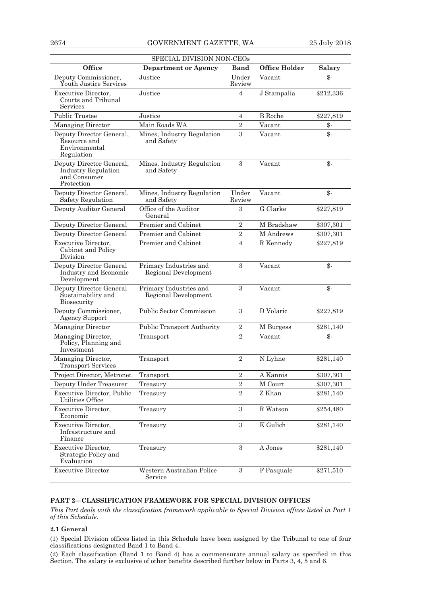| SPECIAL DIVISION NON-CEOs                                                            |                                                |                  |                      |                 |  |
|--------------------------------------------------------------------------------------|------------------------------------------------|------------------|----------------------|-----------------|--|
| Office                                                                               | <b>Department or Agency</b>                    | Band             | <b>Office Holder</b> | <b>Salary</b>   |  |
| Deputy Commissioner,<br>Youth Justice Services                                       | Justice                                        |                  | Vacant               | \$-             |  |
| Executive Director,<br>Courts and Tribunal<br>Services                               | Justice                                        | 4                | J Stampalia          | \$212,336       |  |
| Public Trustee                                                                       | Justice                                        | 4                | <b>B</b> Roche       | \$227,819       |  |
| Managing Director                                                                    | Main Roads WA                                  | $\overline{2}$   | Vacant               | $\frac{2}{3}$   |  |
| Deputy Director General,<br>Resource and<br>Environmental<br>Regulation              | Mines, Industry Regulation<br>and Safety       | 3                | Vacant               | $\mathcal{S}$ - |  |
| Deputy Director General,<br><b>Industry Regulation</b><br>and Consumer<br>Protection | Mines, Industry Regulation<br>and Safety       | 3                | Vacant               | $\mathcal{S}$ - |  |
| Deputy Director General,<br>Safety Regulation                                        | Mines, Industry Regulation<br>and Safety       | Under<br>Review  | Vacant               | $\mathcal{S}$ - |  |
| Deputy Auditor General                                                               | Office of the Auditor<br>General               | 3                | G Clarke             | \$227,819       |  |
| Deputy Director General                                                              | Premier and Cabinet                            | $\overline{2}$   | M Bradshaw           | \$307,301       |  |
| <b>Deputy Director General</b>                                                       | Premier and Cabinet                            | $\boldsymbol{2}$ | M Andrews            | \$307,301       |  |
| Executive Director,<br>Cabinet and Policy<br>Division                                | Premier and Cabinet                            | $\overline{4}$   | R Kennedy            | \$227,819       |  |
| Deputy Director General<br>Industry and Economic<br>Development                      | Primary Industries and<br>Regional Development | 3                | Vacant               | $\frac{3}{2}$   |  |
| Deputy Director General<br>Sustainability and<br>Biosecurity                         | Primary Industries and<br>Regional Development | 3                | Vacant               | $\mathcal{S}$ - |  |
| Deputy Commissioner,<br><b>Agency Support</b>                                        | <b>Public Sector Commission</b>                | 3                | D Volaric            | \$227,819       |  |
| Managing Director                                                                    | <b>Public Transport Authority</b>              | $\sqrt{2}$       | M Burgess            | \$281,140       |  |
| Managing Director,<br>Policy, Planning and<br>Investment                             | Transport                                      | $\overline{2}$   | Vacant               | \$-             |  |
| Managing Director,<br><b>Transport Services</b>                                      | Transport                                      | $\overline{2}$   | N Lyhne              | \$281,140       |  |
| Project Director, Metronet                                                           | Transport                                      | $\overline{2}$   | A Kannis             | \$307,301       |  |
| Deputy Under Treasurer                                                               | Treasury                                       | $\,2$            | M Court              | \$307,301       |  |
| <b>Executive Director, Public</b><br>Utilities Office                                | Treasury                                       | $\overline{2}$   | Z Khan               | \$281,140       |  |
| Executive Director,<br>Economic                                                      | Treasury                                       | 3                | R Watson             | \$254,480       |  |
| <b>Executive Director,</b><br>Infrastructure and<br>Finance                          | Treasury                                       | 3                | K Gulich             | \$281,140       |  |
| Executive Director,<br>Strategic Policy and<br>Evaluation                            | Treasury                                       | $\sqrt{3}$       | A Jones              | \$281,140       |  |
| <b>Executive Director</b>                                                            | Western Australian Police<br>Service           | 3                | F Pasquale           | \$271,510       |  |

# **PART 2—CLASSIFICATION FRAMEWORK FOR SPECIAL DIVISION OFFICES**

*This Part deals with the classification framework applicable to Special Division offices listed in Part 1 of this Schedule.* 

## **2.1 General**

(1) Special Division offices listed in this Schedule have been assigned by the Tribunal to one of four classifications designated Band 1 to Band 4.

(2) Each classification (Band 1 to Band 4) has a commensurate annual salary as specified in this Section. The salary is exclusive of other benefits described further below in Parts 3, 4, 5 and 6.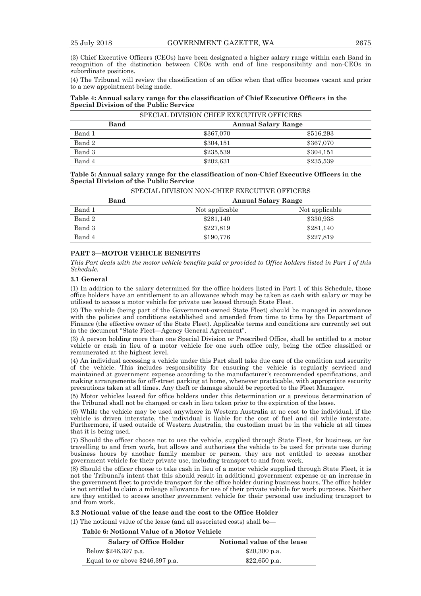(3) Chief Executive Officers (CEOs) have been designated a higher salary range within each Band in recognition of the distinction between CEOs with end of line responsibility and non-CEOs in subordinate positions.

(4) The Tribunal will review the classification of an office when that office becomes vacant and prior to a new appointment being made.

#### **Table 4: Annual salary range for the classification of Chief Executive Officers in the Special Division of the Public Service**

| SPECIAL DIVISION CHIEF EXECUTIVE OFFICERS |                                    |           |           |  |
|-------------------------------------------|------------------------------------|-----------|-----------|--|
|                                           | Band<br><b>Annual Salary Range</b> |           |           |  |
| Band 1                                    |                                    | \$367,070 | \$516,293 |  |
| Band 2                                    |                                    | \$304.151 | \$367,070 |  |
| Band 3                                    |                                    | \$235,539 | \$304,151 |  |
| Band 4                                    |                                    | \$202,631 | \$235,539 |  |

**Table 5: Annual salary range for the classification of non-Chief Executive Officers in the Special Division of the Public Service** 

|        | SPECIAL DIVISION NON-CHIEF EXECUTIVE OFFICERS |                            |                |  |  |
|--------|-----------------------------------------------|----------------------------|----------------|--|--|
|        | Band                                          | <b>Annual Salary Range</b> |                |  |  |
| Band 1 |                                               | Not applicable             | Not applicable |  |  |
| Band 2 |                                               | \$281,140                  | \$330,938      |  |  |
| Band 3 |                                               | \$227.819                  | \$281,140      |  |  |
| Band 4 |                                               | \$190,776                  | \$227,819      |  |  |

# **PART 3—MOTOR VEHICLE BENEFITS**

*This Part deals with the motor vehicle benefits paid or provided to Office holders listed in Part 1 of this Schedule.* 

#### **3.1 General**

(1) In addition to the salary determined for the office holders listed in Part 1 of this Schedule, those office holders have an entitlement to an allowance which may be taken as cash with salary or may be utilised to access a motor vehicle for private use leased through State Fleet.

(2) The vehicle (being part of the Government-owned State Fleet) should be managed in accordance with the policies and conditions established and amended from time to time by the Department of Finance (the effective owner of the State Fleet). Applicable terms and conditions are currently set out in the document "State Fleet—Agency General Agreement".

(3) A person holding more than one Special Division or Prescribed Office, shall be entitled to a motor vehicle or cash in lieu of a motor vehicle for one such office only, being the office classified or remunerated at the highest level.

(4) An individual accessing a vehicle under this Part shall take due care of the condition and security of the vehicle. This includes responsibility for ensuring the vehicle is regularly serviced and maintained at government expense according to the manufacturer's recommended specifications, and making arrangements for off-street parking at home, whenever practicable, with appropriate security precautions taken at all times. Any theft or damage should be reported to the Fleet Manager.

(5) Motor vehicles leased for office holders under this determination or a previous determination of the Tribunal shall not be changed or cash in lieu taken prior to the expiration of the lease.

(6) While the vehicle may be used anywhere in Western Australia at no cost to the individual, if the vehicle is driven interstate, the individual is liable for the cost of fuel and oil while interstate. Furthermore, if used outside of Western Australia, the custodian must be in the vehicle at all times that it is being used.

(7) Should the officer choose not to use the vehicle, supplied through State Fleet, for business, or for travelling to and from work, but allows and authorises the vehicle to be used for private use during business hours by another family member or person, they are not entitled to access another government vehicle for their private use, including transport to and from work.

(8) Should the officer choose to take cash in lieu of a motor vehicle supplied through State Fleet, it is not the Tribunal's intent that this should result in additional government expense or an increase in the government fleet to provide transport for the office holder during business hours. The office holder is not entitled to claim a mileage allowance for use of their private vehicle for work purposes. Neither are they entitled to access another government vehicle for their personal use including transport to and from work.

**3.2 Notional value of the lease and the cost to the Office Holder** 

(1) The notional value of the lease (and all associated costs) shall be—

**Table 6: Notional Value of a Motor Vehicle** 

| <b>Salary of Office Holder</b>    | Notional value of the lease |
|-----------------------------------|-----------------------------|
| Below \$246,397 p.a.              | $$20,300$ p.a.              |
| Equal to or above $$246,397$ p.a. | $$22,650$ p.a.              |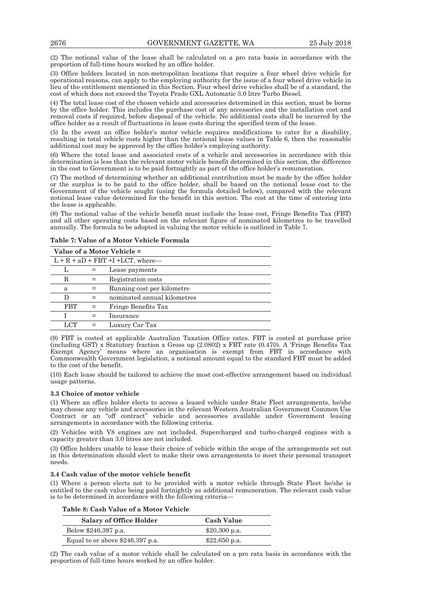(2) The notional value of the lease shall be calculated on a pro rata basis in accordance with the proportion of full-time hours worked by an office holder.

(3) Office holders located in non-metropolitan locations that require a four wheel drive vehicle for operational reasons, can apply to the employing authority for the issue of a four wheel drive vehicle in lieu of the entitlement mentioned in this Section. Four wheel drive vehicles shall be of a standard, the cost of which does not exceed the Toyota Prado GXL Automatic 3.0 litre Turbo Diesel.

(4) The total lease cost of the chosen vehicle and accessories determined in this section, must be borne by the office holder. This includes the purchase cost of any accessories and the installation cost and removal costs if required, before disposal of the vehicle. No additional costs shall be incurred by the office holder as a result of fluctuations in lease costs during the specified term of the lease.

(5) In the event an office holder's motor vehicle requires modifications to cater for a disability, resulting in total vehicle costs higher than the notional lease values in Table 6, then the reasonable additional cost may be approved by the office holder's employing authority.

(6) Where the total lease and associated costs of a vehicle and accessories in accordance with this determination is less than the relevant motor vehicle benefit determined in this section, the difference in the cost to Government is to be paid fortnightly as part of the office holder's remuneration.

(7) The method of determining whether an additional contribution must be made by the office holder or the surplus is to be paid to the office holder, shall be based on the notional lease cost to the Government of the vehicle sought (using the formula detailed below), compared with the relevant notional lease value determined for the benefit in this section. The cost at the time of entering into the lease is applicable.

(8) The notional value of the vehicle benefit must include the lease cost, Fringe Benefits Tax (FBT) and all other operating costs based on the relevant figure of nominated kilometres to be travelled annually. The formula to be adopted in valuing the motor vehicle is outlined in Table 7.

|            | Value of a Motor Vehicle =            |                             |  |  |  |
|------------|---------------------------------------|-----------------------------|--|--|--|
|            | $L + R + aD + FBT + I + LCT$ , where— |                             |  |  |  |
|            |                                       | Lease payments              |  |  |  |
| R          |                                       | Registration costs          |  |  |  |
| a          |                                       | Running cost per kilometre  |  |  |  |
| D          |                                       | nominated annual kilometres |  |  |  |
| <b>FBT</b> |                                       | Fringe Benefits Tax         |  |  |  |
|            |                                       | Insurance                   |  |  |  |
| LCT.       |                                       | Luxury Car Tax              |  |  |  |

**Table 7: Value of a Motor Vehicle Formula** 

(9) FBT is costed at applicable Australian Taxation Office rates. FBT is costed at purchase price (including GST) x Statutory fraction x Gross up (2.0802) x FBT rate (0.470). A 'Fringe Benefits Tax Exempt Agency' means where an organisation is exempt from FBT in accordance with Commonwealth Government legislation, a notional amount equal to the standard FBT must be added to the cost of the benefit.

(10) Each lease should be tailored to achieve the most cost-effective arrangement based on individual usage patterns.

#### **3.3 Choice of motor vehicle**

(1) Where an office holder elects to access a leased vehicle under State Fleet arrangements, he/she may choose any vehicle and accessories in the relevant Western Australian Government Common Use Contract or an "off contract" vehicle and accessories available under Government leasing arrangements in accordance with the following criteria.

(2) Vehicles with V8 engines are not included. Supercharged and turbo-charged engines with a capacity greater than 3.0 litres are not included.

(3) Office holders unable to lease their choice of vehicle within the scope of the arrangements set out in this determination should elect to make their own arrangements to meet their personal transport needs.

#### **3.4 Cash value of the motor vehicle benefit**

(1) Where a person elects not to be provided with a motor vehicle through State Fleet he/she is entitled to the cash value being paid fortnightly as additional remuneration. The relevant cash value is to be determined in accordance with the following criteria—

|  |  |  | Table 8: Cash Value of a Motor Vehicle |
|--|--|--|----------------------------------------|
|  |  |  |                                        |

| <b>Salary of Office Holder</b>   | <b>Cash Value</b> |
|----------------------------------|-------------------|
| Below \$246,397 p.a.             | $$20,300$ p.a.    |
| Equal to or above \$246,397 p.a. | $$22,650$ p.a.    |

(2) The cash value of a motor vehicle shall be calculated on a pro rata basis in accordance with the proportion of full-time hours worked by an office holder.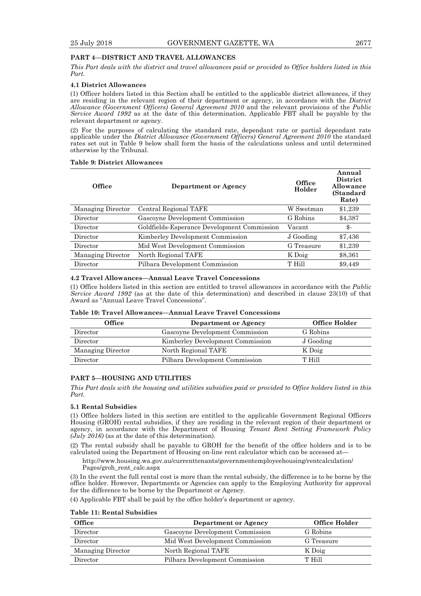# **PART 4—DISTRICT AND TRAVEL ALLOWANCES**

*This Part deals with the district and travel allowances paid or provided to Office holders listed in this Part.* 

#### **4.1 District Allowances**

(1) Officer holders listed in this Section shall be entitled to the applicable district allowances, if they are residing in the relevant region of their department or agency, in accordance with the *District Allowance (Government Officers) General Agreement 2010* and the relevant provisions of the *Public Service Award 1992* as at the date of this determination. Applicable FBT shall be payable by the relevant department or agency.

(2) For the purposes of calculating the standard rate, dependant rate or partial dependant rate applicable under the *District Allowance (Government Officers) General Agreement 2010* the standard rates set out in Table 9 below shall form the basis of the calculations unless and until determined otherwise by the Tribunal.

#### **Table 9: District Allowances**

| Office            | Department or Agency                        | Office<br>Holder | Annual<br><b>District</b><br>Allowance<br>(Standard<br>Rate) |
|-------------------|---------------------------------------------|------------------|--------------------------------------------------------------|
| Managing Director | Central Regional TAFE                       | W Swetman        | \$1,239                                                      |
| Director          | Gascoyne Development Commission             | G Robins         | \$4,387                                                      |
| Director          | Goldfields-Esperance Development Commission | Vacant           | \$-                                                          |
| Director          | Kimberley Development Commission            | J Gooding        | \$7,436                                                      |
| Director          | Mid West Development Commission             | G Treasure       | \$1,239                                                      |
| Managing Director | North Regional TAFE                         | K Doig           | \$8,361                                                      |
| Director          | Pilbara Development Commission              | T Hill           | \$9.449                                                      |

#### **4.2 Travel Allowances—Annual Leave Travel Concessions**

(1) Office holders listed in this section are entitled to travel allowances in accordance with the *Public Service Award 1992* (as at the date of this determination) and described in clause 23(10) of that Award as "Annual Leave Travel Concessions".

#### **Table 10: Travel Allowances—Annual Leave Travel Concessions**

| Office            | Department or Agency             | <b>Office Holder</b> |
|-------------------|----------------------------------|----------------------|
| Director          | Gascoyne Development Commission  | G Robins             |
| Director          | Kimberley Development Commission | J Gooding            |
| Managing Director | North Regional TAFE              | K Doig               |
| Director          | Pilbara Development Commission   | T Hill               |

# **PART 5—HOUSING AND UTILITIES**

*This Part deals with the housing and utilities subsidies paid or provided to Office holders listed in this Part.* 

#### **5.1 Rental Subsidies**

(1) Office holders listed in this section are entitled to the applicable Government Regional Officers Housing (GROH) rental subsidies, if they are residing in the relevant region of their department or agency, in accordance with the Department of Housing *Tenant Rent Setting Framework Policy*   $(\tilde{J}uly 2016)$  (as at the date of this determination).

(2) The rental subsidy shall be payable to GROH for the benefit of the office holders and is to be calculated using the Department of Housing on-line rent calculator which can be accessed at—

http://www.housing.wa.gov.au/currenttenants/governmentemployeehousing/rentcalculation/ Pages/groh\_rent\_calc.aspx

(3) In the event the full rental cost is more than the rental subsidy, the difference is to be borne by the office holder. However, Departments or Agencies can apply to the Employing Authority for approval for the difference to be borne by the Department or Agency.

(4) Applicable FBT shall be paid by the office holder's department or agency.

#### **Table 11: Rental Subsidies**

| <b>Office</b>     | Department or Agency            | Office Holder |
|-------------------|---------------------------------|---------------|
| Director          | Gascoyne Development Commission | G Robins      |
| Director          | Mid West Development Commission | G Treasure    |
| Managing Director | North Regional TAFE             | K Doig        |
| Director          | Pilbara Development Commission  | T Hill        |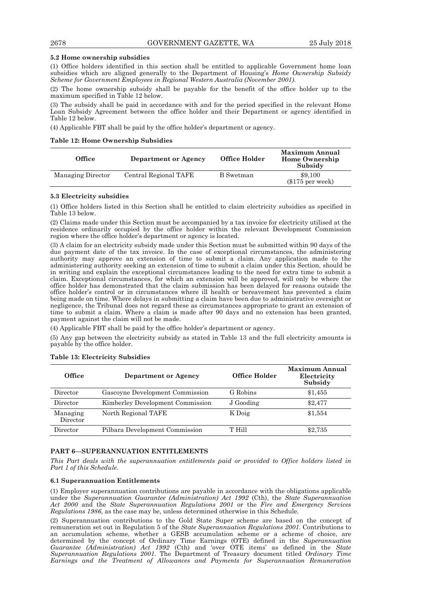#### **5.2 Home ownership subsidies**

(1) Office holders identified in this section shall be entitled to applicable Government home loan subsidies which are aligned generally to the Department of Housing's *Home Ownership Subsidy Scheme for Government Employees in Regional Western Australia (November 2001)*.

(2) The home ownership subsidy shall be payable for the benefit of the office holder up to the maximum specified in Table 12 below.

(3) The subsidy shall be paid in accordance with and for the period specified in the relevant Home Loan Subsidy Agreement between the office holder and their Department or agency identified in Table 12 below.

(4) Applicable FBT shall be paid by the office holder's department or agency.

#### **Table 12: Home Ownership Subsidies**

| <b>Office</b>     | Department or Agency  | Office Holder | <b>Maximum Annual</b><br><b>Home Ownership</b><br>Subsidy |
|-------------------|-----------------------|---------------|-----------------------------------------------------------|
| Managing Director | Central Regional TAFE | B Swetman     | \$9.100<br>$(\$175$ per week)                             |

#### **5.3 Electricity subsidies**

(1) Office holders listed in this Section shall be entitled to claim electricity subsidies as specified in Table 13 below.

(2) Claims made under this Section must be accompanied by a tax invoice for electricity utilised at the residence ordinarily occupied by the office holder within the relevant Development Commission region where the office holder's department or agency is located.

(3) A claim for an electricity subsidy made under this Section must be submitted within 90 days of the due payment date of the tax invoice. In the case of exceptional circumstances, the administering authority may approve an extension of time to submit a claim. Any application made to the administering authority seeking an extension of time to submit a claim under this Section, should be in writing and explain the exceptional circumstances leading to the need for extra time to submit a claim. Exceptional circumstances, for which an extension will be approved, will only be where the office holder has demonstrated that the claim submission has been delayed for reasons outside the office holder's control or in circumstances where ill health or bereavement has prevented a claim being made on time. Where delays in submitting a claim have been due to administrative oversight or negligence, the Tribunal does not regard these as circumstances appropriate to grant an extension of time to submit a claim. Where a claim is made after 90 days and no extension has been granted, payment against the claim will not be made.

(4) Applicable FBT shall be paid by the office holder's department or agency.

(5) Any gap between the electricity subsidy as stated in Table 13 and the full electricity amounts is payable by the office holder.

| Office               | Department or Agency             | Office Holder | Maximum Annual<br>Electricity<br>Subsidy |
|----------------------|----------------------------------|---------------|------------------------------------------|
| Director             | Gascoyne Development Commission  | G Robins      | \$1,455                                  |
| Director             | Kimberley Development Commission | J Gooding     | \$2,477                                  |
| Managing<br>Director | North Regional TAFE              | K Doig        | \$1,554                                  |
| Director             | Pilbara Development Commission   | T Hill        | \$2,735                                  |

#### **Table 13: Electricity Subsidies**

# **PART 6—SUPERANNUATION ENTITLEMENTS**

*This Part deals with the superannuation entitlements paid or provided to Office holders listed in Part 1 of this Schedule.* 

#### **6.1 Superannuation Entitlements**

(1) Employer superannuation contributions are payable in accordance with the obligations applicable under the *Superannuation Guarantee (Administration) Act 1992* (Cth), the *State Superannuation Act 2000* and the *State Superannuation Regulations 2001* or the *Fire and Emergency Services Regulations 1986*, as the case may be, unless determined otherwise in this Schedule.

(2) Superannuation contributions to the Gold State Super scheme are based on the concept of remuneration set out in Regulation 5 of the *State Superannuation Regulations 2001*. Contributions to an accumulation scheme, whether a GESB accumulation scheme or a scheme of choice, are determined by the concept of Ordinary Time Earnings (OTE) defined in the *Superannuation Guarantee (Administration) Act 1992* (Cth) and 'over OTE items' as defined in the *State Superannuation Regulations 2001*. The Department of Treasury document titled *Ordinary Time Earnings and the Treatment of Allowances and Payments for Superannuation Remuneration*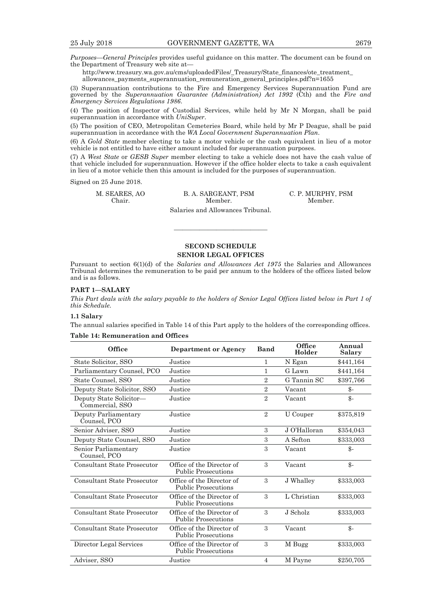*Purposes—General Principles* provides useful guidance on this matter. The document can be found on the Department of Treasury web site at—

http://www.treasury.wa.gov.au/cms/uploadedFiles/\_Treasury/State\_finances/ote\_treatment\_ allowances\_payments\_superannuation\_remuneration\_general\_principles.pdf?n=1655

(3) Superannuation contributions to the Fire and Emergency Services Superannuation Fund are governed by the *Superannuation Guarantee (Administration) Act 1992* (Cth) and the *Fire and Emergency Services Regulations 1986*.

(4) The position of Inspector of Custodial Services, while held by Mr N Morgan, shall be paid superannuation in accordance with *UniSuper*.

(5) The position of CEO, Metropolitan Cemeteries Board, while held by Mr P Deague, shall be paid superannuation in accordance with the *WA Local Government Superannuation Plan*.

(6) A *Gold State* member electing to take a motor vehicle or the cash equivalent in lieu of a motor vehicle is not entitled to have either amount included for superannuation purposes.

(7) A *West State* or *GESB Super* member electing to take a vehicle does not have the cash value of that vehicle included for superannuation. However if the office holder elects to take a cash equivalent in lieu of a motor vehicle then this amount is included for the purposes of superannuation.

Signed on 25 June 2018.

M. SEARES, AO B. A. SARGEANT, PSM C. P. MURPHY, PSM Chair. Member. Member. Chair. Member. Member.

Salaries and Allowances Tribunal.

# **SECOND SCHEDULE SENIOR LEGAL OFFICES**

———————————

Pursuant to section 6(1)(d) of the *Salaries and Allowances Act 1975* the Salaries and Allowances Tribunal determines the remuneration to be paid per annum to the holders of the offices listed below and is as follows.

#### **PART 1—SALARY**

*This Part deals with the salary payable to the holders of Senior Legal Offices listed below in Part 1 of this Schedule.* 

#### **1.1 Salary**

The annual salaries specified in Table 14 of this Part apply to the holders of the corresponding offices.

#### **Table 14: Remuneration and Offices**

| Office                                     | Department or Agency                                    | <b>Band</b>    | Office<br>Holder | Annual<br><b>Salary</b> |
|--------------------------------------------|---------------------------------------------------------|----------------|------------------|-------------------------|
| State Solicitor, SSO                       | Justice                                                 | 1              | N Egan           | \$441,164               |
| Parliamentary Counsel, PCO                 | Justice                                                 | 1              | G Lawn           | \$441,164               |
| State Counsel, SSO                         | Justice                                                 | $\overline{2}$ | G Tannin SC      | \$397,766               |
| Deputy State Solicitor, SSO                | Justice                                                 | $\overline{2}$ | Vacant           | $\frac{3}{2}$           |
| Deputy State Solicitor-<br>Commercial, SSO | Justice                                                 | $\overline{2}$ | Vacant           | $\mathcal{S}$ -         |
| Deputy Parliamentary<br>Counsel, PCO       | Justice                                                 | $\overline{2}$ | U Couper         | \$375,819               |
| Senior Adviser, SSO                        | Justice                                                 | 3              | J O'Halloran     | \$354,043               |
| Deputy State Counsel, SSO                  | Justice                                                 | 3              | A Sefton         | \$333,003               |
| Senior Parliamentary<br>Counsel, PCO       | Justice                                                 | 3              | Vacant           | \$-                     |
| <b>Consultant State Prosecutor</b>         | Office of the Director of<br><b>Public Prosecutions</b> | 3              | Vacant           | $\mathcal{S}$ -         |
| <b>Consultant State Prosecutor</b>         | Office of the Director of<br><b>Public Prosecutions</b> | 3              | J Whalley        | \$333,003               |
| <b>Consultant State Prosecutor</b>         | Office of the Director of<br><b>Public Prosecutions</b> | 3              | L Christian      | \$333,003               |
| Consultant State Prosecutor                | Office of the Director of<br><b>Public Prosecutions</b> | 3              | J Scholz         | \$333,003               |
| <b>Consultant State Prosecutor</b>         | Office of the Director of<br><b>Public Prosecutions</b> | 3              | Vacant           | $\mathcal{S}$ -         |
| Director Legal Services                    | Office of the Director of<br><b>Public Prosecutions</b> | 3              | M Bugg           | \$333,003               |
| Adviser, SSO                               | Justice                                                 | $\overline{4}$ | M Payne          | \$250,705               |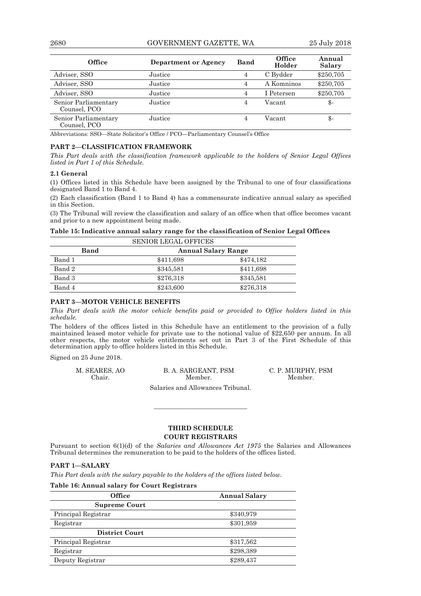2680 GOVERNMENT GAZETTE, WA 25 July 2018

| <b>Office</b>                        | Department or Agency | Band           | Office<br>Holder | Annual<br>Salary |
|--------------------------------------|----------------------|----------------|------------------|------------------|
| Adviser, SSO                         | Justice              | $\overline{4}$ | C Bydder         | \$250,705        |
| Adviser, SSO                         | Justice              | 4              | A Komninos       | \$250,705        |
| Adviser, SSO                         | Justice              | 4              | I Petersen       | \$250,705        |
| Senior Parliamentary<br>Counsel, PCO | Justice              | 4              | Vacant           | \$-              |
| Senior Parliamentary<br>Counsel, PCO | Justice              | 4              | Vacant           | \$-              |

Abbreviations: SSO—State Solicitor's Office / PCO—Parliamentary Counsel's Office

#### **PART 2—CLASSIFICATION FRAMEWORK**

*This Part deals with the classification framework applicable to the holders of Senior Legal Offices listed in Part 1 of this Schedule.* 

#### **2.1 General**

(1) Offices listed in this Schedule have been assigned by the Tribunal to one of four classifications designated Band 1 to Band 4.

(2) Each classification (Band 1 to Band 4) has a commensurate indicative annual salary as specified in this Section.

(3) The Tribunal will review the classification and salary of an office when that office becomes vacant and prior to a new appointment being made.

#### **Table 15: Indicative annual salary range for the classification of Senior Legal Offices**  SENIOR LEGAL OFFICES

| Band   | <b>Annual Salary Range</b> |           |  |
|--------|----------------------------|-----------|--|
| Band 1 | \$411,698                  | \$474.182 |  |
| Band 2 | \$345,581                  | \$411,698 |  |
| Band 3 | \$276,318                  | \$345,581 |  |
| Band 4 | \$243,600                  | \$276,318 |  |

#### **PART 3—MOTOR VEHICLE BENEFITS**

*This Part deals with the motor vehicle benefits paid or provided to Office holders listed in this schedule.* 

The holders of the offices listed in this Schedule have an entitlement to the provision of a fully maintained leased motor vehicle for private use to the notional value of \$22,650 per annum. In all other respects, the motor vehicle entitlements set out in Part 3 of the First Schedule of this determination apply to office holders listed in this Schedule.

Signed on 25 June 2018.

| M. SEARES, AO | B. A. SARGEANT, PSM | C. P. MURPHY, PSM |
|---------------|---------------------|-------------------|
| Chair.        | Member.             | Member.           |

Salaries and Allowances Tribunal.

# **THIRD SCHEDULE COURT REGISTRARS**

———————————

Pursuant to section 6(1)(d) of the *Salaries and Allowances Act 1975* the Salaries and Allowances Tribunal determines the remuneration to be paid to the holders of the offices listed.

#### **PART 1—SALARY**

*This Part deals with the salary payable to the holders of the offices listed below.* 

#### **Table 16: Annual salary for Court Registrars**

| <b>Office</b>         | <b>Annual Salary</b> |
|-----------------------|----------------------|
| <b>Supreme Court</b>  |                      |
| Principal Registrar   | \$340,979            |
| Registrar             | \$301,959            |
| <b>District Court</b> |                      |
| Principal Registrar   | \$317,562            |
| Registrar             | \$298,389            |
| Deputy Registrar      | \$289,437            |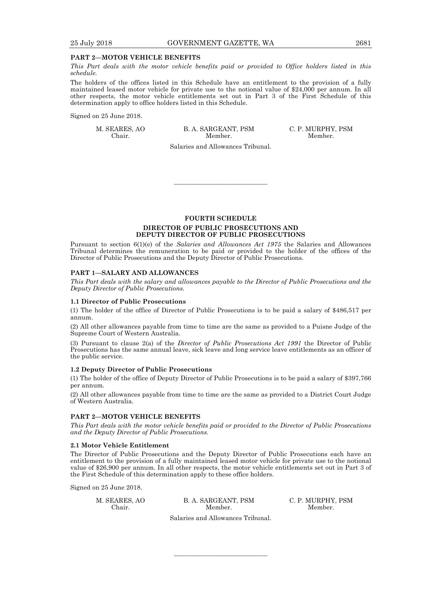#### **PART 2—MOTOR VEHICLE BENEFITS**

*This Part deals with the motor vehicle benefits paid or provided to Office holders listed in this schedule.* 

The holders of the offices listed in this Schedule have an entitlement to the provision of a fully maintained leased motor vehicle for private use to the notional value of \$24,000 per annum. In all other respects, the motor vehicle entitlements set out in Part 3 of the First Schedule of this determination apply to office holders listed in this Schedule.

Signed on 25 June 2018.

M. SEARES, AO B. A. SARGEANT, PSM C. P. MURPHY, PSM Chair. Member. Member. Chair. Member. Member.

Salaries and Allowances Tribunal.

———————————

**FOURTH SCHEDULE DIRECTOR OF PUBLIC PROSECUTIONS AND DEPUTY DIRECTOR OF PUBLIC PROSECUTIONS** 

Pursuant to section 6(1)(e) of the *Salaries and Allowances Act 1975* the Salaries and Allowances Tribunal determines the remuneration to be paid or provided to the holder of the offices of the Director of Public Prosecutions and the Deputy Director of Public Prosecutions.

#### **PART 1—SALARY AND ALLOWANCES**

*This Part deals with the salary and allowances payable to the Director of Public Prosecutions and the Deputy Director of Public Prosecutions.* 

#### **1.1 Director of Public Prosecutions**

(1) The holder of the office of Director of Public Prosecutions is to be paid a salary of \$486,517 per annum.

(2) All other allowances payable from time to time are the same as provided to a Puisne Judge of the Supreme Court of Western Australia.

(3) Pursuant to clause 2(a) of the *Director of Public Prosecutions Act 1991* the Director of Public Prosecutions has the same annual leave, sick leave and long service leave entitlements as an officer of the public service.

#### **1.2 Deputy Director of Public Prosecutions**

(1) The holder of the office of Deputy Director of Public Prosecutions is to be paid a salary of \$397,766 per annum.

(2) All other allowances payable from time to time are the same as provided to a District Court Judge of Western Australia.

#### **PART 2—MOTOR VEHICLE BENEFITS**

*This Part deals with the motor vehicle benefits paid or provided to the Director of Public Prosecutions and the Deputy Director of Public Prosecutions.* 

#### **2.1 Motor Vehicle Entitlement**

The Director of Public Prosecutions and the Deputy Director of Public Prosecutions each have an entitlement to the provision of a fully maintained leased motor vehicle for private use to the notional value of \$26,900 per annum. In all other respects, the motor vehicle entitlements set out in Part 3 of the First Schedule of this determination apply to these office holders.

Signed on 25 June 2018.

M. SEARES, AO B. A. SARGEANT, PSM C. P. MURPHY, PSM Chair. Member. Member. Chair. Member. Member.

Salaries and Allowances Tribunal.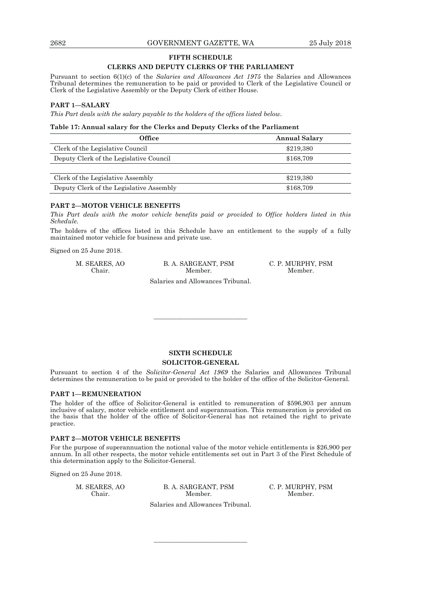#### **FIFTH SCHEDULE**

# **CLERKS AND DEPUTY CLERKS OF THE PARLIAMENT**

Pursuant to section 6(1)(c) of the *Salaries and Allowances Act 1975* the Salaries and Allowances Tribunal determines the remuneration to be paid or provided to Clerk of the Legislative Council or Clerk of the Legislative Assembly or the Deputy Clerk of either House.

#### **PART 1—SALARY**

*This Part deals with the salary payable to the holders of the offices listed below.* 

#### **Table 17: Annual salary for the Clerks and Deputy Clerks of the Parliament**

| <b>Office</b>                            | <b>Annual Salary</b> |
|------------------------------------------|----------------------|
| Clerk of the Legislative Council         | \$219,380            |
| Deputy Clerk of the Legislative Council  | \$168,709            |
|                                          |                      |
| Clerk of the Legislative Assembly        | \$219,380            |
| Deputy Clerk of the Legislative Assembly | \$168,709            |

#### **PART 2—MOTOR VEHICLE BENEFITS**

*This Part deals with the motor vehicle benefits paid or provided to Office holders listed in this Schedule.* 

The holders of the offices listed in this Schedule have an entitlement to the supply of a fully maintained motor vehicle for business and private use.

Signed on 25 June 2018.

M. SEARES, AO B. A. SARGEANT, PSM C. P. MURPHY, PSM Chair. Member. Member. Chair. Member. Member.

Salaries and Allowances Tribunal.

———————————

# **SIXTH SCHEDULE SOLICITOR-GENERAL**

Pursuant to section 4 of the *Solicitor-General Act 1969* the Salaries and Allowances Tribunal determines the remuneration to be paid or provided to the holder of the office of the Solicitor-General.

#### **PART 1—REMUNERATION**

The holder of the office of Solicitor-General is entitled to remuneration of \$596,903 per annum inclusive of salary, motor vehicle entitlement and superannuation. This remuneration is provided on the basis that the holder of the office of Solicitor-General has not retained the right to private practice.

#### **PART 2—MOTOR VEHICLE BENEFITS**

For the purpose of superannuation the notional value of the motor vehicle entitlements is \$26,900 per annum. In all other respects, the motor vehicle entitlements set out in Part 3 of the First Schedule of this determination apply to the Solicitor-General.

Signed on 25 June 2018.

 M. SEARES, AO B. A. SARGEANT, PSM C. P. MURPHY, PSM Chair. Member. Member. Salaries and Allowances Tribunal.